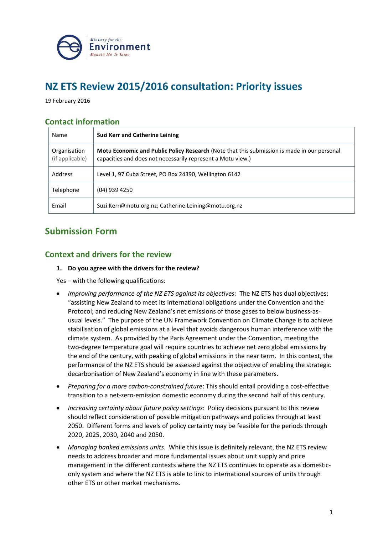

# **NZ ETS Review 2015/2016 consultation: Priority issues**

19 February 2016

# **Contact information**

| Name                            | <b>Suzi Kerr and Catherine Leining</b>                                                                                                                     |
|---------------------------------|------------------------------------------------------------------------------------------------------------------------------------------------------------|
| Organisation<br>(if applicable) | Motu Economic and Public Policy Research (Note that this submission is made in our personal<br>capacities and does not necessarily represent a Motu view.) |
| <b>Address</b>                  | Level 1, 97 Cuba Street, PO Box 24390, Wellington 6142                                                                                                     |
| Telephone                       | (04) 939 4250                                                                                                                                              |
| Email                           | Suzi.Kerr@motu.org.nz; Catherine.Leining@motu.org.nz                                                                                                       |

# **Submission Form**

# **Context and drivers for the review**

# **1. Do you agree with the drivers for the review?**

Yes – with the following qualifications:

- *Improving performance of the NZ ETS against its objectives:* The NZ ETS has dual objectives: "assisting New Zealand to meet its international obligations under the Convention and the Protocol; and reducing New Zealand's net emissions of those gases to below business-asusual levels." The purpose of the UN Framework Convention on Climate Change is to achieve stabilisation of global emissions at a level that avoids dangerous human interference with the climate system. As provided by the Paris Agreement under the Convention, meeting the two-degree temperature goal will require countries to achieve net zero global emissions by the end of the century, with peaking of global emissions in the near term. In this context, the performance of the NZ ETS should be assessed against the objective of enabling the strategic decarbonisation of New Zealand's economy in line with these parameters.
- *Preparing for a more carbon-constrained future*: This should entail providing a cost-effective transition to a net-zero-emission domestic economy during the second half of this century.
- *Increasing certainty about future policy settings*: Policy decisions pursuant to this review should reflect consideration of possible mitigation pathways and policies through at least 2050. Different forms and levels of policy certainty may be feasible for the periods through 2020, 2025, 2030, 2040 and 2050.
- *Managing banked emissions units*. While this issue is definitely relevant, the NZ ETS review needs to address broader and more fundamental issues about unit supply and price management in the different contexts where the NZ ETS continues to operate as a domesticonly system and where the NZ ETS is able to link to international sources of units through other ETS or other market mechanisms.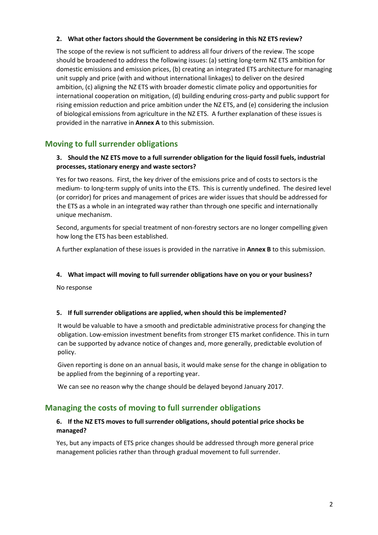#### **2. What other factors should the Government be considering in this NZ ETS review?**

The scope of the review is not sufficient to address all four drivers of the review. The scope should be broadened to address the following issues: (a) setting long-term NZ ETS ambition for domestic emissions and emission prices, (b) creating an integrated ETS architecture for managing unit supply and price (with and without international linkages) to deliver on the desired ambition, (c) aligning the NZ ETS with broader domestic climate policy and opportunities for international cooperation on mitigation, (d) building enduring cross-party and public support for rising emission reduction and price ambition under the NZ ETS, and (e) considering the inclusion of biological emissions from agriculture in the NZ ETS. A further explanation of these issues is provided in the narrative in **Annex A** to this submission.

# **Moving to full surrender obligations**

# **3. Should the NZ ETS move to a full surrender obligation for the liquid fossil fuels, industrial processes, stationary energy and waste sectors?**

Yes for two reasons. First, the key driver of the emissions price and of costs to sectors is the medium- to long-term supply of units into the ETS. This is currently undefined. The desired level (or corridor) for prices and management of prices are wider issues that should be addressed for the ETS as a whole in an integrated way rather than through one specific and internationally unique mechanism.

Second, arguments for special treatment of non-forestry sectors are no longer compelling given how long the ETS has been established.

A further explanation of these issues is provided in the narrative in **Annex B** to this submission.

# **4. What impact will moving to full surrender obligations have on you or your business?**

No response

# **5. If full surrender obligations are applied, when should this be implemented?**

It would be valuable to have a smooth and predictable administrative process for changing the obligation. Low-emission investment benefits from stronger ETS market confidence. This in turn can be supported by advance notice of changes and, more generally, predictable evolution of policy.

Given reporting is done on an annual basis, it would make sense for the change in obligation to be applied from the beginning of a reporting year.

We can see no reason why the change should be delayed beyond January 2017.

# **Managing the costs of moving to full surrender obligations**

# **6. If the NZ ETS moves to full surrender obligations, should potential price shocks be managed?**

Yes, but any impacts of ETS price changes should be addressed through more general price management policies rather than through gradual movement to full surrender.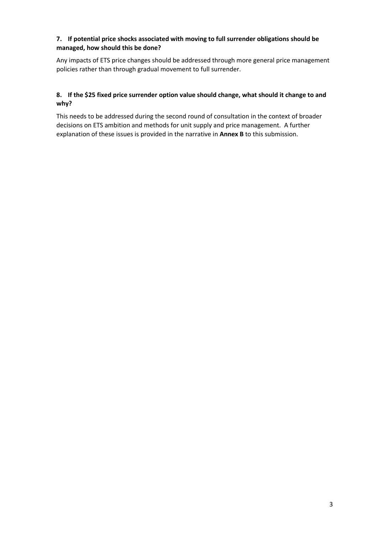# **7. If potential price shocks associated with moving to full surrender obligations should be managed, how should this be done?**

Any impacts of ETS price changes should be addressed through more general price management policies rather than through gradual movement to full surrender.

# **8. If the \$25 fixed price surrender option value should change, what should it change to and why?**

This needs to be addressed during the second round of consultation in the context of broader decisions on ETS ambition and methods for unit supply and price management. A further explanation of these issues is provided in the narrative in **Annex B** to this submission.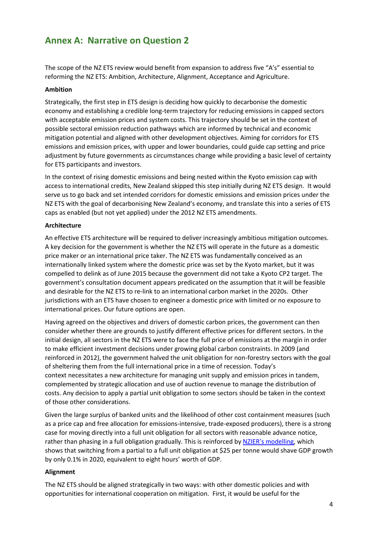# **Annex A: Narrative on Question 2**

The scope of the NZ ETS review would benefit from expansion to address five "A's" essential to reforming the NZ ETS: Ambition, Architecture, Alignment, Acceptance and Agriculture.

#### **Ambition**

Strategically, the first step in ETS design is deciding how quickly to decarbonise the domestic economy and establishing a credible long-term trajectory for reducing emissions in capped sectors with acceptable emission prices and system costs. This trajectory should be set in the context of possible sectoral emission reduction pathways which are informed by technical and economic mitigation potential and aligned with other development objectives. Aiming for corridors for ETS emissions and emission prices, with upper and lower boundaries, could guide cap setting and price adjustment by future governments as circumstances change while providing a basic level of certainty for ETS participants and investors.

In the context of rising domestic emissions and being nested within the Kyoto emission cap with access to international credits, New Zealand skipped this step initially during NZ ETS design. It would serve us to go back and set intended corridors for domestic emissions and emission prices under the NZ ETS with the goal of decarbonising New Zealand's economy, and translate this into a series of ETS caps as enabled (but not yet applied) under the 2012 NZ ETS amendments.

#### **Architecture**

An effective ETS architecture will be required to deliver increasingly ambitious mitigation outcomes. A key decision for the government is whether the NZ ETS will operate in the future as a domestic price maker or an international price taker. The NZ ETS was fundamentally conceived as an internationally linked system where the domestic price was set by the Kyoto market, but it was compelled to delink as of June 2015 because the government did not take a Kyoto CP2 target. The government's consultation document appears predicated on the assumption that it will be feasible and desirable for the NZ ETS to re-link to an international carbon market in the 2020s. Other jurisdictions with an ETS have chosen to engineer a domestic price with limited or no exposure to international prices. Our future options are open.

Having agreed on the objectives and drivers of domestic carbon prices, the government can then consider whether there are grounds to justify different effective prices for different sectors. In the initial design, all sectors in the NZ ETS were to face the full price of emissions at the margin in order to make efficient investment decisions under growing global carbon constraints. In 2009 (and reinforced in 2012), the government halved the unit obligation for non-forestry sectors with the goal of sheltering them from the full international price in a time of recession. Today's context necessitates a new architecture for managing unit supply and emission prices in tandem, complemented by strategic allocation and use of auction revenue to manage the distribution of costs. Any decision to apply a partial unit obligation to some sectors should be taken in the context of those other considerations.

Given the large surplus of banked units and the likelihood of other cost containment measures (such as a price cap and free allocation for emissions-intensive, trade-exposed producers), there is a strong case for moving directly into a full unit obligation for all sectors with reasonable advance notice, rather than phasing in a full obligation gradually. This is reinforced by [NZIER's modelling](http://www.mfe.govt.nz/consultation/new-zealand-ets-review-201516-consultation), which shows that switching from a partial to a full unit obligation at \$25 per tonne would shave GDP growth by only 0.1% in 2020, equivalent to eight hours' worth of GDP.

# **Alignment**

The NZ ETS should be aligned strategically in two ways: with other domestic policies and with opportunities for international cooperation on mitigation. First, it would be useful for the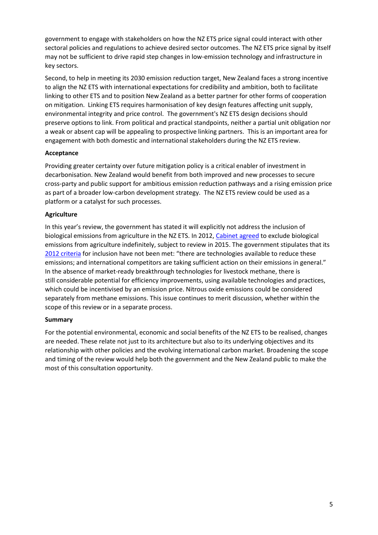government to engage with stakeholders on how the NZ ETS price signal could interact with other sectoral policies and regulations to achieve desired sector outcomes. The NZ ETS price signal by itself may not be sufficient to drive rapid step changes in low-emission technology and infrastructure in key sectors.

Second, to help in meeting its 2030 emission reduction target, New Zealand faces a strong incentive to align the NZ ETS with international expectations for credibility and ambition, both to facilitate linking to other ETS and to position New Zealand as a better partner for other forms of cooperation on mitigation. Linking ETS requires harmonisation of key design features affecting unit supply, environmental integrity and price control. The government's NZ ETS design decisions should preserve options to link. From political and practical standpoints, neither a partial unit obligation nor a weak or absent cap will be appealing to prospective linking partners. This is an important area for engagement with both domestic and international stakeholders during the NZ ETS review.

# **Acceptance**

Providing greater certainty over future mitigation policy is a critical enabler of investment in decarbonisation. New Zealand would benefit from both improved and new processes to secure cross-party and public support for ambitious emission reduction pathways and a rising emission price as part of a broader low-carbon development strategy. The NZ ETS review could be used as a platform or a catalyst for such processes.

# **Agriculture**

In this year's review, the government has stated it will explicitly not address the inclusion of biological emissions from agriculture in the NZ ETS. In 2012, [Cabinet agreed](http://www.climatechange.govt.nz/emissions-trading-scheme/ets-amendments/cabinet-minute-12-2310.pdf) to exclude biological emissions from agriculture indefinitely, subject to review in 2015. The government stipulates that its [2012 criteria](http://www.climatechange.govt.nz/emissions-trading-scheme/ets-amendments/cabinet-paper-final-decisions-amendments-ccra.pdf) for inclusion have not been met: "there are technologies available to reduce these emissions; and international competitors are taking sufficient action on their emissions in general." In the absence of market-ready breakthrough technologies for livestock methane, there is still considerable potential for efficiency improvements, using available technologies and practices, which could be incentivised by an emission price. Nitrous oxide emissions could be considered separately from methane emissions. This issue continues to merit discussion, whether within the scope of this review or in a separate process.

# **Summary**

For the potential environmental, economic and social benefits of the NZ ETS to be realised, changes are needed. These relate not just to its architecture but also to its underlying objectives and its relationship with other policies and the evolving international carbon market. Broadening the scope and timing of the review would help both the government and the New Zealand public to make the most of this consultation opportunity.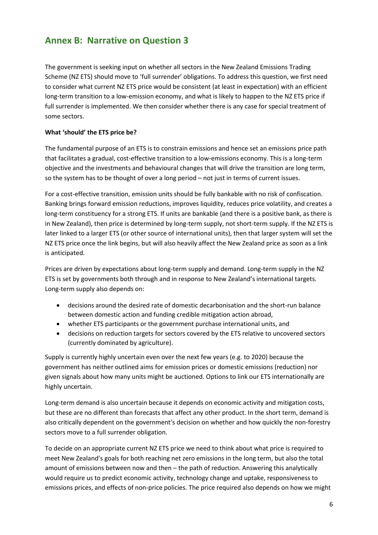# **Annex B: Narrative on Question 3**

The government is seeking input on whether all sectors in the New Zealand Emissions Trading Scheme (NZ ETS) should move to 'full surrender' obligations. To address this question, we first need to consider what current NZ ETS price would be consistent (at least in expectation) with an efficient long-term transition to a low-emission economy, and what is likely to happen to the NZ ETS price if full surrender is implemented. We then consider whether there is any case for special treatment of some sectors.

# **What 'should' the ETS price be?**

The fundamental purpose of an ETS is to constrain emissions and hence set an emissions price path that facilitates a gradual, cost-effective transition to a low-emissions economy. This is a long-term objective and the investments and behavioural changes that will drive the transition are long term, so the system has to be thought of over a long period – not just in terms of current issues.

For a cost-effective transition, emission units should be fully bankable with no risk of confiscation. Banking brings forward emission reductions, improves liquidity, reduces price volatility, and creates a long-term constituency for a strong ETS. If units are bankable (and there is a positive bank, as there is in New Zealand), then price is determined by long-term supply, not short-term supply. If the NZ ETS is later linked to a larger ETS (or other source of international units), then that larger system will set the NZ ETS price once the link begins, but will also heavily affect the New Zealand price as soon as a link is anticipated.

Prices are driven by expectations about long-term supply and demand. Long-term supply in the NZ ETS is set by governments both through and in response to New Zealand's international targets. Long-term supply also depends on:

- decisions around the desired rate of domestic decarbonisation and the short-run balance between domestic action and funding credible mitigation action abroad,
- whether ETS participants or the government purchase international units, and
- decisions on reduction targets for sectors covered by the ETS relative to uncovered sectors (currently dominated by agriculture).

Supply is currently highly uncertain even over the next few years (e.g. to 2020) because the government has neither outlined aims for emission prices or domestic emissions (reduction) nor given signals about how many units might be auctioned. Options to link our ETS internationally are highly uncertain.

Long-term demand is also uncertain because it depends on economic activity and mitigation costs, but these are no different than forecasts that affect any other product. In the short term, demand is also critically dependent on the government's decision on whether and how quickly the non-forestry sectors move to a full surrender obligation.

To decide on an appropriate current NZ ETS price we need to think about what price is required to meet New Zealand's goals for both reaching net zero emissions in the long term, but also the total amount of emissions between now and then – the path of reduction. Answering this analytically would require us to predict economic activity, technology change and uptake, responsiveness to emissions prices, and effects of non-price policies. The price required also depends on how we might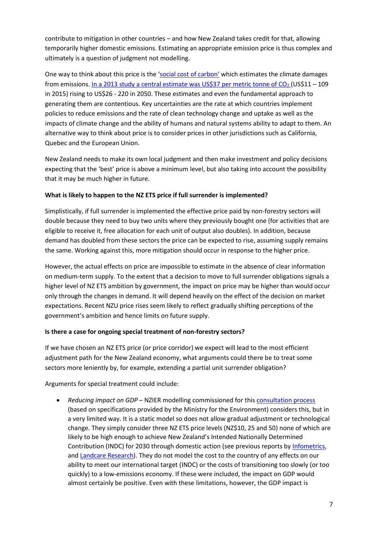contribute to mitigation in other countries – and how New Zealand takes credit for that, allowing temporarily higher domestic emissions. Estimating an appropriate emission price is thus complex and ultimately is a question of judgment not modelling.

One way to think about this price is the ['social cost of carbon'](http://low-emission-future.blogspot.co.nz/2014/07/high-profile-research-suggests-social.html) which estimates the climate damages from emissions. In a 2013 study a central estimate was US\$37 per metric tonne of  $CO<sub>2</sub>$  (US\$11 – 109 in 2015) rising to US\$26 - 220 in 2050. These estimates and even the fundamental approach to generating them are contentious. Key uncertainties are the rate at which countries implement policies to reduce emissions and the rate of clean technology change and uptake as well as the impacts of climate change and the ability of humans and natural systems ability to adapt to them. An alternative way to think about price is to consider prices in other jurisdictions such as California, Quebec and the European Union.

New Zealand needs to make its own local judgment and then make investment and policy decisions expecting that the 'best' price is above a minimum level, but also taking into account the possibility that it may be much higher in future.

# **What is likely to happen to the NZ ETS price if full surrender is implemented?**

Simplistically, if full surrender is implemented the effective price paid by non-forestry sectors will double because they need to buy two units where they previously bought one (for activities that are eligible to receive it, free allocation for each unit of output also doubles). In addition, because demand has doubled from these sectors the price can be expected to rise, assuming supply remains the same. Working against this, more mitigation should occur in response to the higher price.

However, the actual effects on price are impossible to estimate in the absence of clear information on medium-term supply. To the extent that a decision to move to full surrender obligations signals a higher level of NZ ETS ambition by government, the impact on price may be higher than would occur only through the changes in demand. It will depend heavily on the effect of the decision on market expectations. Recent NZU price rises seem likely to reflect gradually shifting perceptions of the government's ambition and hence limits on future supply.

# **Is there a case for ongoing special treatment of non-forestry sectors?**

If we have chosen an NZ ETS price (or price corridor) we expect will lead to the most efficient adjustment path for the New Zealand economy, what arguments could there be to treat some sectors more leniently by, for example, extending a partial unit surrender obligation?

Arguments for special treatment could include:

 *Reducing impact on GDP* – NZIER modelling commissioned for this [consultation process](http://www.mfe.govt.nz/consultation/new-zealand-ets-review-201516-consultation) (based on specifications provided by the Ministry for the Environment) considers this, but in a very limited way. It is a static model so does not allow gradual adjustment or technological change. They simply consider three NZ ETS price levels (NZ\$10, 25 and 50) none of which are likely to be high enough to achieve New Zealand's Intended Nationally Determined Contribution (INDC) for 2030 through domestic action (see previous reports b[y Infometrics,](http://www.mfe.govt.nz/node/20761) and [Landcare Research\)](http://www.mfe.govt.nz/publications/climate-change/modelling-economic-impact-new-zealand%E2%80%99s-post-2020-climate-change). They do not model the cost to the country of any effects on our ability to meet our international target (INDC) or the costs of transitioning too slowly (or too quickly) to a low-emissions economy. If these were included, the impact on GDP would almost certainly be positive. Even with these limitations, however, the GDP impact is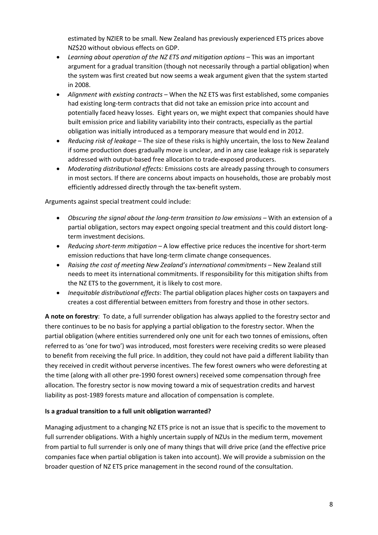estimated by NZIER to be small. New Zealand has previously experienced ETS prices above NZ\$20 without obvious effects on GDP.

- *Learning about operation of the NZ ETS and mitigation options* This was an important argument for a gradual transition (though not necessarily through a partial obligation) when the system was first created but now seems a weak argument given that the system started in 2008.
- *Alignment with existing contracts* When the NZ ETS was first established, some companies had existing long-term contracts that did not take an emission price into account and potentially faced heavy losses. Eight years on, we might expect that companies should have built emission price and liability variability into their contracts, especially as the partial obligation was initially introduced as a temporary measure that would end in 2012.
- *Reducing risk of leakage* The size of these risks is highly uncertain, the loss to New Zealand if some production does gradually move is unclear, and in any case leakage risk is separately addressed with output-based free allocation to trade-exposed producers.
- *Moderating distributional effects:* Emissions costs are already passing through to consumers in most sectors. If there are concerns about impacts on households, those are probably most efficiently addressed directly through the tax-benefit system.

Arguments against special treatment could include:

- *Obscuring the signal about the long-term transition to low emissions* With an extension of a partial obligation, sectors may expect ongoing special treatment and this could distort longterm investment decisions.
- *Reducing short-term mitigation –* A low effective price reduces the incentive for short-term emission reductions that have long-term climate change consequences.
- *Raising the cost of meeting New Zealand's international commitments –* New Zealand still needs to meet its international commitments. If responsibility for this mitigation shifts from the NZ ETS to the government, it is likely to cost more.
- *Inequitable distributional effects*: The partial obligation places higher costs on taxpayers and creates a cost differential between emitters from forestry and those in other sectors.

**A note on forestry**: To date, a full surrender obligation has always applied to the forestry sector and there continues to be no basis for applying a partial obligation to the forestry sector. When the partial obligation (where entities surrendered only one unit for each two tonnes of emissions, often referred to as 'one for two') was introduced, most foresters were receiving credits so were pleased to benefit from receiving the full price. In addition, they could not have paid a different liability than they received in credit without perverse incentives. The few forest owners who were deforesting at the time (along with all other pre-1990 forest owners) received some compensation through free allocation. The forestry sector is now moving toward a mix of sequestration credits and harvest liability as post-1989 forests mature and allocation of compensation is complete.

# **Is a gradual transition to a full unit obligation warranted?**

Managing adjustment to a changing NZ ETS price is not an issue that is specific to the movement to full surrender obligations. With a highly uncertain supply of NZUs in the medium term, movement from partial to full surrender is only one of many things that will drive price (and the effective price companies face when partial obligation is taken into account). We will provide a submission on the broader question of NZ ETS price management in the second round of the consultation.